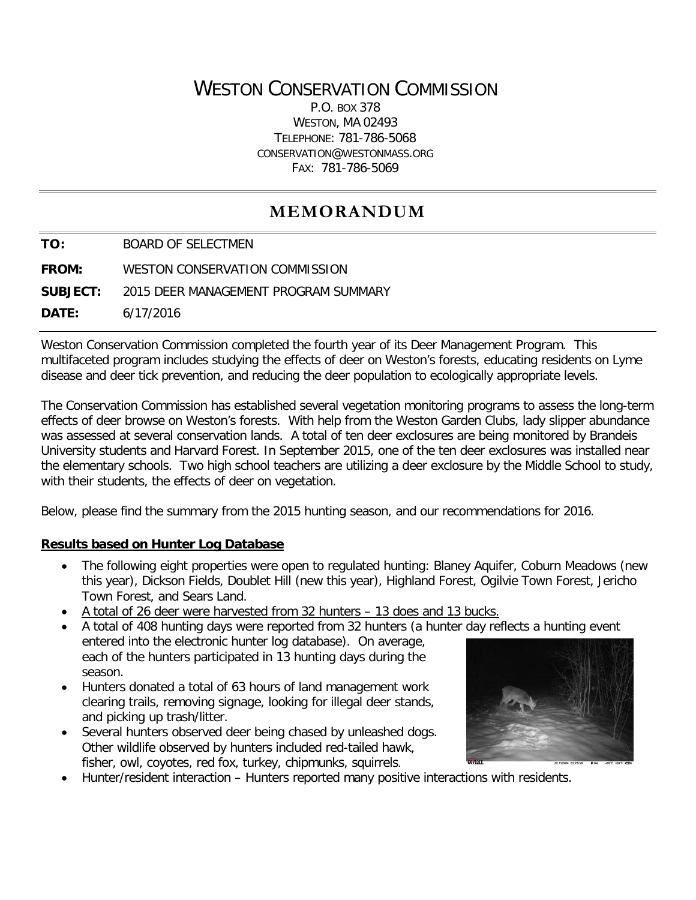## WESTON CONSERVATION COMMISSION

P.O. BOX 378 WESTON, MA 02493 TELEPHONE: 781-786-5068 CONSERVATION@WESTONMASS.ORG FAX: 781-786-5069

# **MEMORANDUM**

**TO:** BOARD OF SELECTMEN **FROM:** WESTON CONSERVATION COMMISSION

**SUBJECT:** 2015 DEER MANAGEMENT PROGRAM SUMMARY

**DATE:** 6/17/2016

Weston Conservation Commission completed the fourth year of its Deer Management Program. This multifaceted program includes studying the effects of deer on Weston's forests, educating residents on Lyme disease and deer tick prevention, and reducing the deer population to ecologically appropriate levels.

The Conservation Commission has established several vegetation monitoring programs to assess the long-term effects of deer browse on Weston's forests. With help from the Weston Garden Clubs, lady slipper abundance was assessed at several conservation lands. A total of ten deer exclosures are being monitored by Brandeis University students and Harvard Forest. In September 2015, one of the ten deer exclosures was installed near the elementary schools. Two high school teachers are utilizing a deer exclosure by the Middle School to study, with their students, the effects of deer on vegetation.

Below, please find the summary from the 2015 hunting season, and our recommendations for 2016.

#### **Results based on Hunter Log Database**

- The following eight properties were open to regulated hunting: Blaney Aquifer, Coburn Meadows (new this year), Dickson Fields, Doublet Hill (new this year), Highland Forest, Ogilvie Town Forest, Jericho Town Forest, and Sears Land.
- A total of 26 deer were harvested from 32 hunters 13 does and 13 bucks.
- A total of 408 hunting days were reported from 32 hunters (a hunter day reflects a hunting event entered into the electronic hunter log database). On average, each of the hunters participated in 13 hunting days during the season.
- Hunters donated a total of 63 hours of land management work clearing trails, removing signage, looking for illegal deer stands, and picking up trash/litter.
- Several hunters observed deer being chased by unleashed dogs. Other wildlife observed by hunters included red-tailed hawk, fisher, owl, coyotes, red fox, turkey, chipmunks, squirrels.



• Hunter/resident interaction – Hunters reported many positive interactions with residents.